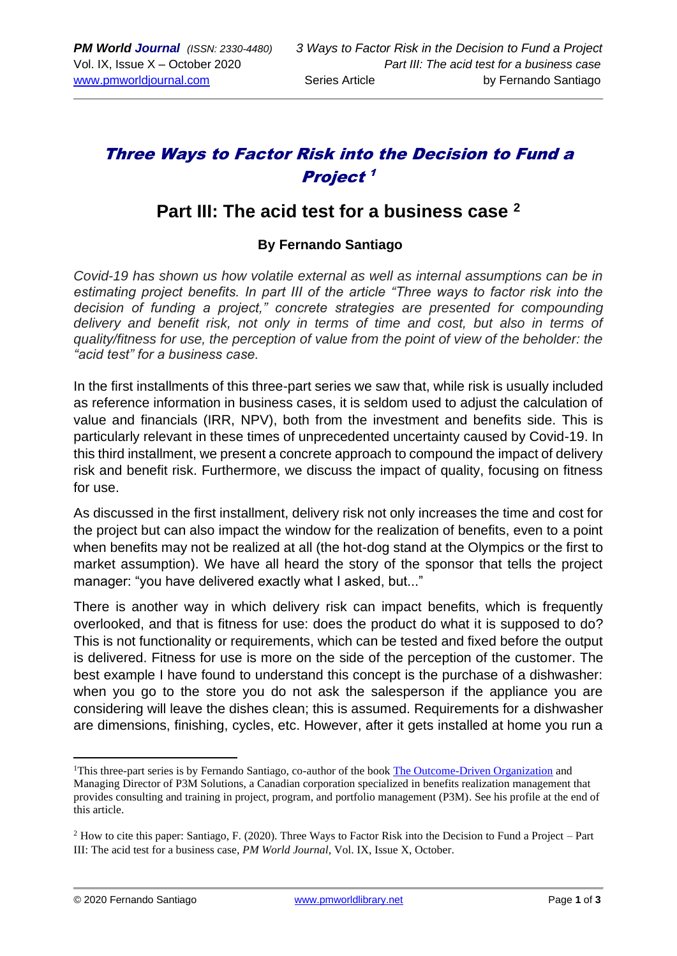# Three Ways to Factor Risk into the Decision to Fund a Project 1

## **Part III: The acid test for a business case <sup>2</sup>**

#### **By Fernando Santiago**

*Covid-19 has shown us how volatile external as well as internal assumptions can be in*  estimating project benefits. In part III of the article "Three ways to factor risk into the *decision of funding a project," concrete strategies are presented for compounding delivery and benefit risk, not only in terms of time and cost, but also in terms of quality/fitness for use, the perception of value from the point of view of the beholder: the "acid test" for a business case.* 

In the first installments of this three-part series we saw that, while risk is usually included as reference information in business cases, it is seldom used to adjust the calculation of value and financials (IRR, NPV), both from the investment and benefits side. This is particularly relevant in these times of unprecedented uncertainty caused by Covid-19. In this third installment, we present a concrete approach to compound the impact of delivery risk and benefit risk. Furthermore, we discuss the impact of quality, focusing on fitness for use.

As discussed in the first installment, delivery risk not only increases the time and cost for the project but can also impact the window for the realization of benefits, even to a point when benefits may not be realized at all (the hot-dog stand at the Olympics or the first to market assumption). We have all heard the story of the sponsor that tells the project manager: "you have delivered exactly what I asked, but..."

There is another way in which delivery risk can impact benefits, which is frequently overlooked, and that is fitness for use: does the product do what it is supposed to do? This is not functionality or requirements, which can be tested and fixed before the output is delivered. Fitness for use is more on the side of the perception of the customer. The best example I have found to understand this concept is the purchase of a dishwasher: when you go to the store you do not ask the salesperson if the appliance you are considering will leave the dishes clean; this is assumed. Requirements for a dishwasher are dimensions, finishing, cycles, etc. However, after it gets installed at home you run a

<sup>&</sup>lt;sup>1</sup>This three-part series is by Fernando Santiago, co-author of the book [The Outcome-Driven](https://www.amazon.com/Outcome-Driven-Organization-project-portfolio-espresso-ebook/dp/B08CCGHDGB) Organization and Managing Director of P3M Solutions, a Canadian corporation specialized in benefits realization management that provides consulting and training in project, program, and portfolio management (P3M). See his profile at the end of this article.

<sup>2</sup> How to cite this paper: Santiago, F. (2020). Three Ways to Factor Risk into the Decision to Fund a Project – Part III: The acid test for a business case, *PM World Journal,* Vol. IX, Issue X, October.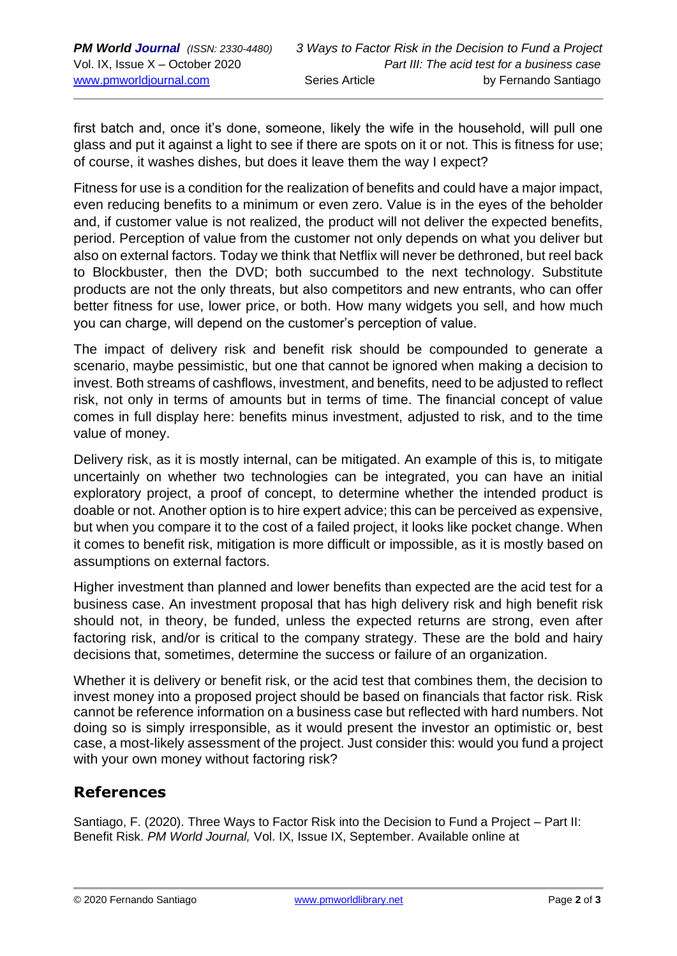first batch and, once it's done, someone, likely the wife in the household, will pull one glass and put it against a light to see if there are spots on it or not. This is fitness for use; of course, it washes dishes, but does it leave them the way I expect?

Fitness for use is a condition for the realization of benefits and could have a major impact, even reducing benefits to a minimum or even zero. Value is in the eyes of the beholder and, if customer value is not realized, the product will not deliver the expected benefits, period. Perception of value from the customer not only depends on what you deliver but also on external factors. Today we think that Netflix will never be dethroned, but reel back to Blockbuster, then the DVD; both succumbed to the next technology. Substitute products are not the only threats, but also competitors and new entrants, who can offer better fitness for use, lower price, or both. How many widgets you sell, and how much you can charge, will depend on the customer's perception of value.

The impact of delivery risk and benefit risk should be compounded to generate a scenario, maybe pessimistic, but one that cannot be ignored when making a decision to invest. Both streams of cashflows, investment, and benefits, need to be adjusted to reflect risk, not only in terms of amounts but in terms of time. The financial concept of value comes in full display here: benefits minus investment, adjusted to risk, and to the time value of money.

Delivery risk, as it is mostly internal, can be mitigated. An example of this is, to mitigate uncertainly on whether two technologies can be integrated, you can have an initial exploratory project, a proof of concept, to determine whether the intended product is doable or not. Another option is to hire expert advice; this can be perceived as expensive, but when you compare it to the cost of a failed project, it looks like pocket change. When it comes to benefit risk, mitigation is more difficult or impossible, as it is mostly based on assumptions on external factors.

Higher investment than planned and lower benefits than expected are the acid test for a business case. An investment proposal that has high delivery risk and high benefit risk should not, in theory, be funded, unless the expected returns are strong, even after factoring risk, and/or is critical to the company strategy. These are the bold and hairy decisions that, sometimes, determine the success or failure of an organization.

Whether it is delivery or benefit risk, or the acid test that combines them, the decision to invest money into a proposed project should be based on financials that factor risk. Risk cannot be reference information on a business case but reflected with hard numbers. Not doing so is simply irresponsible, as it would present the investor an optimistic or, best case, a most-likely assessment of the project. Just consider this: would you fund a project with your own money without factoring risk?

### **References**

Santiago, F. (2020). Three Ways to Factor Risk into the Decision to Fund a Project – Part II: Benefit Risk. *PM World Journal,* Vol. IX, Issue IX, September. Available online at